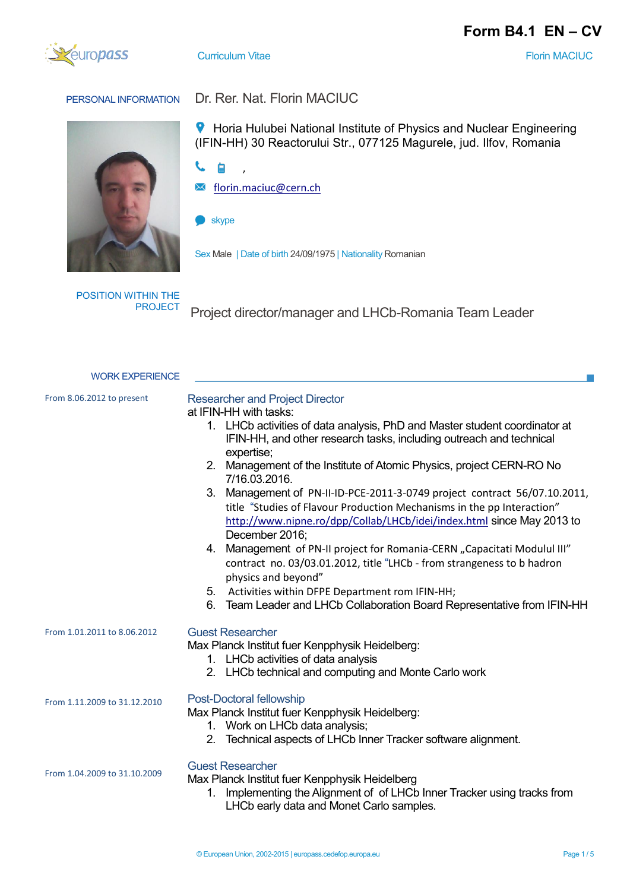



**Curriculum Vitae Florin MACIUC Florin MACIUC** 

## PERSONAL INFORMATION Dr. Rer. Nat. Florin MACIUC



**9** Horia Hulubei National Institute of Physics and Nuclear Engineering (IFIN-HH) 30 Reactorului Str., 077125 Magurele, jud. Ilfov, Romania

- ८  $\Box$
- [florin.maciuc@cern.ch](mailto:florin.maciuc@cern.ch)  $\Join$
- skype
- Sex Male | Date of birth 24/09/1975 | Nationality Romanian

POSITION WITHIN THE

Project director/manager and LHCb-Romania Team Leader

| <b>WORK EXPERIENCE</b>       |                                                                                                                                                                                                                                                                                                                                                                                                                                                                                                                                                                                                                                                               |  |  |  |
|------------------------------|---------------------------------------------------------------------------------------------------------------------------------------------------------------------------------------------------------------------------------------------------------------------------------------------------------------------------------------------------------------------------------------------------------------------------------------------------------------------------------------------------------------------------------------------------------------------------------------------------------------------------------------------------------------|--|--|--|
| From 8.06.2012 to present    | <b>Researcher and Project Director</b><br>at IFIN-HH with tasks:<br>1. LHCb activities of data analysis, PhD and Master student coordinator at<br>IFIN-HH, and other research tasks, including outreach and technical<br>expertise;<br>2. Management of the Institute of Atomic Physics, project CERN-RO No<br>7/16.03.2016.<br>3. Management of PN-II-ID-PCE-2011-3-0749 project contract 56/07.10.2011,<br>title "Studies of Flavour Production Mechanisms in the pp Interaction"<br>http://www.nipne.ro/dpp/Collab/LHCb/idei/index.html since May 2013 to<br>December 2016;<br>Management of PN-II project for Romania-CERN "Capacitati Modulul III"<br>4. |  |  |  |
|                              | contract no. 03/03.01.2012, title "LHCb - from strangeness to b hadron<br>physics and beyond"<br>5. Activities within DFPE Department rom IFIN-HH;<br>Team Leader and LHCb Collaboration Board Representative from IFIN-HH<br>6.                                                                                                                                                                                                                                                                                                                                                                                                                              |  |  |  |
| From 1.01.2011 to 8.06.2012  | <b>Guest Researcher</b><br>Max Planck Institut fuer Kenpphysik Heidelberg:<br>1. LHCb activities of data analysis<br>2. LHCb technical and computing and Monte Carlo work                                                                                                                                                                                                                                                                                                                                                                                                                                                                                     |  |  |  |
| From 1.11.2009 to 31.12.2010 | Post-Doctoral fellowship<br>Max Planck Institut fuer Kenpphysik Heidelberg:<br>1. Work on LHCb data analysis;<br>Technical aspects of LHCb Inner Tracker software alignment.<br>2.                                                                                                                                                                                                                                                                                                                                                                                                                                                                            |  |  |  |
| From 1.04.2009 to 31.10.2009 | <b>Guest Researcher</b><br>Max Planck Institut fuer Kenpphysik Heidelberg<br>Implementing the Alignment of of LHCb Inner Tracker using tracks from<br>1.<br>LHCb early data and Monet Carlo samples.                                                                                                                                                                                                                                                                                                                                                                                                                                                          |  |  |  |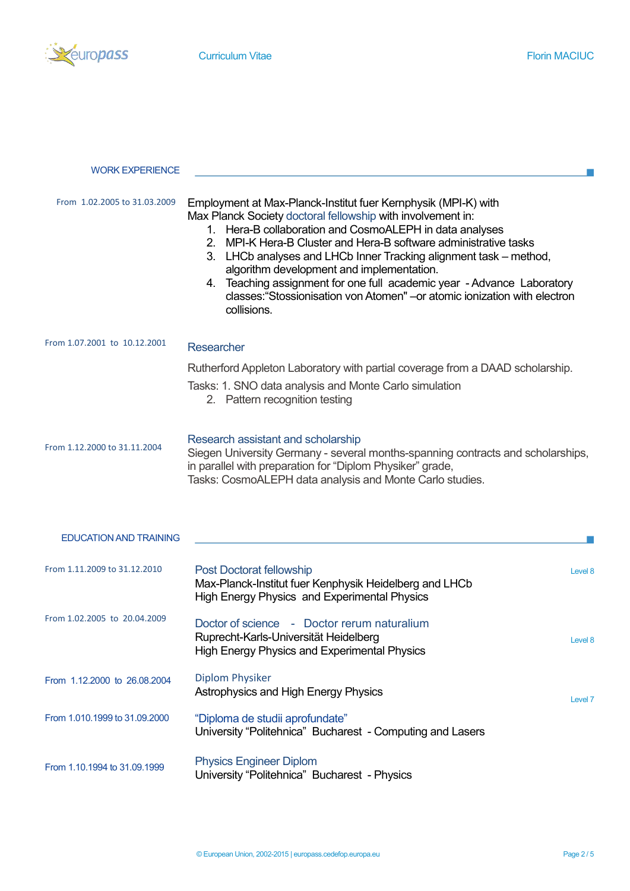

 $\mathcal{C}^{\mathcal{A}}$ 

## WORK EXPERIENCE

| From 1.02.2005 to 31.03.2009  | Employment at Max-Planck-Institut fuer Kernphysik (MPI-K) with<br>Max Planck Society doctoral fellowship with involvement in:<br>Hera-B collaboration and CosmoALEPH in data analyses<br>1 <sub>1</sub><br>2. MPI-K Hera-B Cluster and Hera-B software administrative tasks<br>3. LHCb analyses and LHCb Inner Tracking alignment task - method,<br>algorithm development and implementation.<br>Teaching assignment for one full academic year - Advance Laboratory<br>4.<br>classes: "Stossionisation von Atomen" - or atomic ionization with electron<br>collisions. |         |  |  |
|-------------------------------|-------------------------------------------------------------------------------------------------------------------------------------------------------------------------------------------------------------------------------------------------------------------------------------------------------------------------------------------------------------------------------------------------------------------------------------------------------------------------------------------------------------------------------------------------------------------------|---------|--|--|
| From 1.07.2001 to 10.12.2001  | Researcher                                                                                                                                                                                                                                                                                                                                                                                                                                                                                                                                                              |         |  |  |
|                               | Rutherford Appleton Laboratory with partial coverage from a DAAD scholarship.<br>Tasks: 1. SNO data analysis and Monte Carlo simulation<br>2. Pattern recognition testing                                                                                                                                                                                                                                                                                                                                                                                               |         |  |  |
| From 1.12.2000 to 31.11.2004  | Research assistant and scholarship<br>Siegen University Germany - several months-spanning contracts and scholarships,<br>in parallel with preparation for "Diplom Physiker" grade,<br>Tasks: CosmoALEPH data analysis and Monte Carlo studies.                                                                                                                                                                                                                                                                                                                          |         |  |  |
| <b>EDUCATION AND TRAINING</b> |                                                                                                                                                                                                                                                                                                                                                                                                                                                                                                                                                                         |         |  |  |
| From 1.11.2009 to 31.12.2010  | Post Doctorat fellowship<br>Max-Planck-Institut fuer Kenphysik Heidelberg and LHCb<br><b>High Energy Physics and Experimental Physics</b>                                                                                                                                                                                                                                                                                                                                                                                                                               | Level 8 |  |  |
| From 1.02.2005 to 20.04.2009  | Doctor of science - Doctor rerum naturalium<br>Ruprecht-Karls-Universität Heidelberg<br><b>High Energy Physics and Experimental Physics</b>                                                                                                                                                                                                                                                                                                                                                                                                                             | Level 8 |  |  |
| From 1.12.2000 to 26.08.2004  | <b>Diplom Physiker</b><br>Astrophysics and High Energy Physics                                                                                                                                                                                                                                                                                                                                                                                                                                                                                                          | Level 7 |  |  |
| From 1.010.1999 to 31.09.2000 | "Diploma de studii aprofundate"<br>University "Politehnica" Bucharest - Computing and Lasers                                                                                                                                                                                                                                                                                                                                                                                                                                                                            |         |  |  |
| From 1.10.1994 to 31.09.1999  | <b>Physics Engineer Diplom</b>                                                                                                                                                                                                                                                                                                                                                                                                                                                                                                                                          |         |  |  |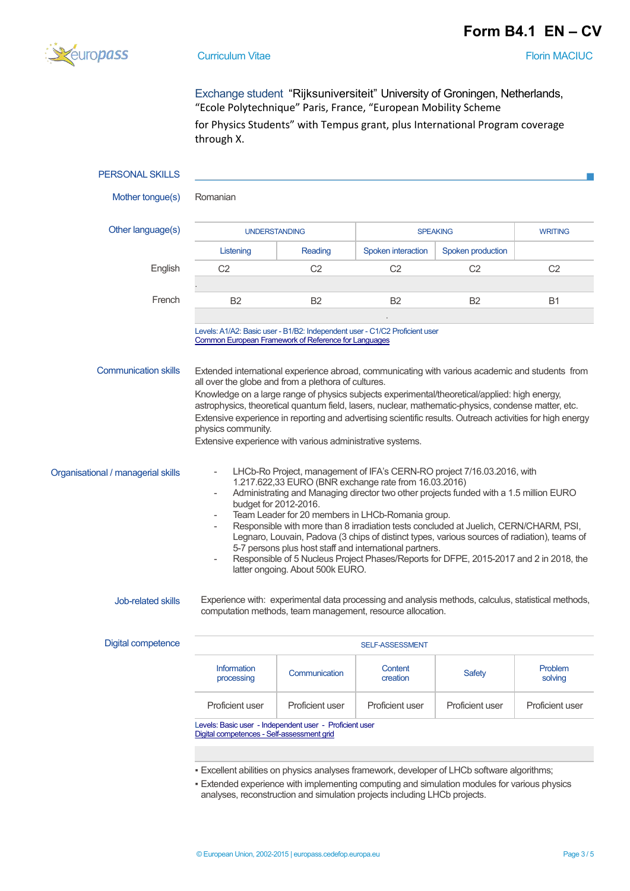## **Form B4.1\_EN – CV**



**Curriculum Vitae Florin MACIUC Florin MACIUC** 

Exchange student "Rijksuniversiteit" University of Groningen, Netherlands, "Ecole Polytechnique" Paris, France, "European Mobility Scheme

for Physics Students" with Tempus grant, plus International Program coverage through X.

| <b>PERSONAL SKILLS</b>                                                                                                                                                                                                                                                                                                                                                            |                                                                                                                                                                                                                                                                                                                                                                                                                                                                                                                                                                                                                                                                                                                        |                 |                                                                                                                                                                  |                   |                    |  |  |
|-----------------------------------------------------------------------------------------------------------------------------------------------------------------------------------------------------------------------------------------------------------------------------------------------------------------------------------------------------------------------------------|------------------------------------------------------------------------------------------------------------------------------------------------------------------------------------------------------------------------------------------------------------------------------------------------------------------------------------------------------------------------------------------------------------------------------------------------------------------------------------------------------------------------------------------------------------------------------------------------------------------------------------------------------------------------------------------------------------------------|-----------------|------------------------------------------------------------------------------------------------------------------------------------------------------------------|-------------------|--------------------|--|--|
| Mother tongue(s)                                                                                                                                                                                                                                                                                                                                                                  | Romanian                                                                                                                                                                                                                                                                                                                                                                                                                                                                                                                                                                                                                                                                                                               |                 |                                                                                                                                                                  |                   |                    |  |  |
| Other language(s)                                                                                                                                                                                                                                                                                                                                                                 | <b>UNDERSTANDING</b>                                                                                                                                                                                                                                                                                                                                                                                                                                                                                                                                                                                                                                                                                                   |                 | <b>SPEAKING</b>                                                                                                                                                  |                   | <b>WRITING</b>     |  |  |
|                                                                                                                                                                                                                                                                                                                                                                                   | Listening                                                                                                                                                                                                                                                                                                                                                                                                                                                                                                                                                                                                                                                                                                              | Reading         | Spoken interaction                                                                                                                                               | Spoken production |                    |  |  |
| English                                                                                                                                                                                                                                                                                                                                                                           | C <sub>2</sub>                                                                                                                                                                                                                                                                                                                                                                                                                                                                                                                                                                                                                                                                                                         | C <sub>2</sub>  | C <sub>2</sub>                                                                                                                                                   | C <sub>2</sub>    | C <sub>2</sub>     |  |  |
|                                                                                                                                                                                                                                                                                                                                                                                   |                                                                                                                                                                                                                                                                                                                                                                                                                                                                                                                                                                                                                                                                                                                        |                 |                                                                                                                                                                  |                   |                    |  |  |
| French                                                                                                                                                                                                                                                                                                                                                                            | <b>B2</b>                                                                                                                                                                                                                                                                                                                                                                                                                                                                                                                                                                                                                                                                                                              | <b>B2</b>       | <b>B2</b>                                                                                                                                                        | <b>B2</b>         | <b>B1</b>          |  |  |
|                                                                                                                                                                                                                                                                                                                                                                                   | Levels: A1/A2: Basic user - B1/B2: Independent user - C1/C2 Proficient user<br>Common European Framework of Reference for Languages                                                                                                                                                                                                                                                                                                                                                                                                                                                                                                                                                                                    |                 |                                                                                                                                                                  |                   |                    |  |  |
| <b>Communication skills</b>                                                                                                                                                                                                                                                                                                                                                       | Extended international experience abroad, communicating with various academic and students from<br>all over the globe and from a plethora of cultures.<br>Knowledge on a large range of physics subjects experimental/theoretical/applied: high energy,<br>astrophysics, theoretical quantum field, lasers, nuclear, mathematic-physics, condense matter, etc.<br>Extensive experience in reporting and advertising scientific results. Outreach activities for high energy<br>physics community.<br>Extensive experience with various administrative systems.                                                                                                                                                         |                 |                                                                                                                                                                  |                   |                    |  |  |
| Organisational / managerial skills                                                                                                                                                                                                                                                                                                                                                | LHCb-Ro Project, management of IFA's CERN-RO project 7/16.03.2016, with<br>1.217.622,33 EURO (BNR exchange rate from 16.03.2016)<br>Administrating and Managing director two other projects funded with a 1.5 million EURO<br>$\overline{\phantom{0}}$<br>budget for 2012-2016.<br>Team Leader for 20 members in LHCb-Romania group.<br>Responsible with more than 8 irradiation tests concluded at Juelich, CERN/CHARM, PSI,<br>Legnaro, Louvain, Padova (3 chips of distinct types, various sources of radiation), teams of<br>5-7 persons plus host staff and international partners.<br>Responsible of 5 Nucleus Project Phases/Reports for DFPE, 2015-2017 and 2 in 2018, the<br>latter ongoing. About 500k EURO. |                 |                                                                                                                                                                  |                   |                    |  |  |
| Job-related skills                                                                                                                                                                                                                                                                                                                                                                |                                                                                                                                                                                                                                                                                                                                                                                                                                                                                                                                                                                                                                                                                                                        |                 | Experience with: experimental data processing and analysis methods, calculus, statistical methods,<br>computation methods, team management, resource allocation. |                   |                    |  |  |
| <b>Digital competence</b>                                                                                                                                                                                                                                                                                                                                                         |                                                                                                                                                                                                                                                                                                                                                                                                                                                                                                                                                                                                                                                                                                                        |                 | <b>SELF-ASSESSMENT</b>                                                                                                                                           |                   |                    |  |  |
|                                                                                                                                                                                                                                                                                                                                                                                   | <b>Information</b><br>processing                                                                                                                                                                                                                                                                                                                                                                                                                                                                                                                                                                                                                                                                                       | Communication   | Content<br>creation                                                                                                                                              | <b>Safety</b>     | Problem<br>solving |  |  |
|                                                                                                                                                                                                                                                                                                                                                                                   | Proficient user                                                                                                                                                                                                                                                                                                                                                                                                                                                                                                                                                                                                                                                                                                        | Proficient user | Proficient user                                                                                                                                                  | Proficient user   | Proficient user    |  |  |
| Levels: Basic user - Independent user - Proficient user<br>Digital competences - Self-assessment grid<br>· Excellent abilities on physics analyses framework, developer of LHCb software algorithms;<br>- Extended experience with implementing computing and simulation modules for various physics<br>analyses, reconstruction and simulation projects including LHCb projects. |                                                                                                                                                                                                                                                                                                                                                                                                                                                                                                                                                                                                                                                                                                                        |                 |                                                                                                                                                                  |                   |                    |  |  |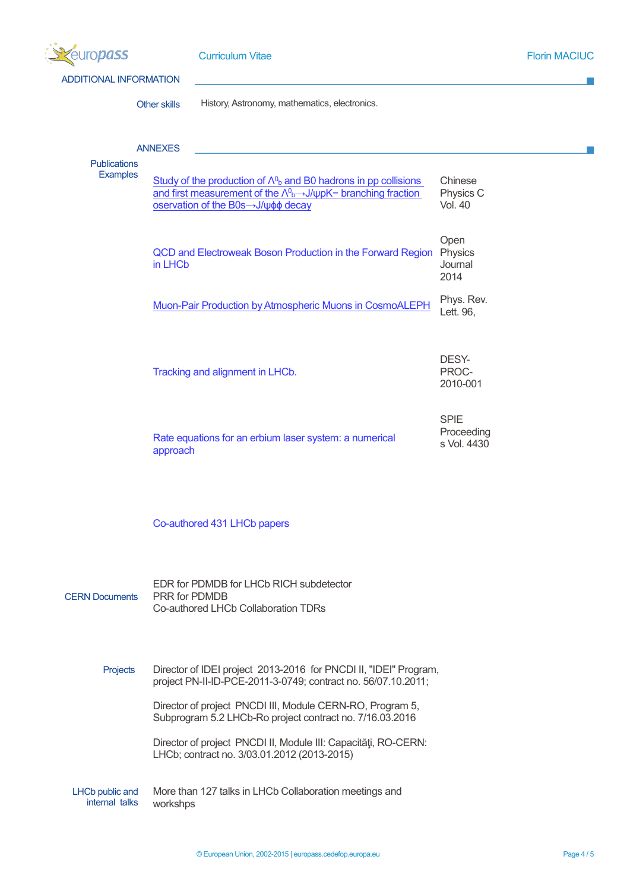| <b>Jropass</b>                           |                | <b>Curriculum Vitae</b>                                                                                                                                                                                                  |                                          | <b>Florin MACIUC</b> |
|------------------------------------------|----------------|--------------------------------------------------------------------------------------------------------------------------------------------------------------------------------------------------------------------------|------------------------------------------|----------------------|
| <b>ADDITIONAL INFORMATION</b>            |                |                                                                                                                                                                                                                          |                                          |                      |
|                                          | Other skills   | History, Astronomy, mathematics, electronics.                                                                                                                                                                            |                                          |                      |
| <b>Publications</b>                      | <b>ANNEXES</b> |                                                                                                                                                                                                                          |                                          |                      |
| <b>Examples</b>                          |                | Study of the production of $\Lambda^{0}$ and B0 hadrons in pp collisions<br>and first measurement of the $\Lambda^{0}$ <sub>b</sub> $\rightarrow$ J/ $\psi$ pK- branching fraction<br>oservation of the B0s->J/ψφφ decay | Chinese<br>Physics C<br><b>Vol. 40</b>   |                      |
|                                          | in LHCb        | QCD and Electroweak Boson Production in the Forward Region                                                                                                                                                               | Open<br>Physics<br>Journal<br>2014       |                      |
|                                          |                | Muon-Pair Production by Atmospheric Muons in CosmoALEPH                                                                                                                                                                  | Phys. Rev.<br>Lett. 96,                  |                      |
|                                          |                | Tracking and alignment in LHCb.                                                                                                                                                                                          | DESY-<br>PROC-<br>2010-001               |                      |
|                                          | approach       | Rate equations for an erbium laser system: a numerical                                                                                                                                                                   | <b>SPIE</b><br>Proceeding<br>s Vol. 4430 |                      |
|                                          |                | Co-authored 431 LHCb papers                                                                                                                                                                                              |                                          |                      |
| <b>CERN Documents</b>                    | PRR for PDMDB  | EDR for PDMDB for LHCb RICH subdetector<br>Co-authored LHCb Collaboration TDRs                                                                                                                                           |                                          |                      |
| Projects                                 |                | Director of IDEI project 2013-2016 for PNCDI II, "IDEI" Program,<br>project PN-II-ID-PCE-2011-3-0749; contract no. 56/07.10.2011;                                                                                        |                                          |                      |
|                                          |                | Director of project PNCDI III, Module CERN-RO, Program 5,<br>Subprogram 5.2 LHCb-Ro project contract no. 7/16.03.2016                                                                                                    |                                          |                      |
|                                          |                | Director of project PNCDI II, Module III: Capacități, RO-CERN:<br>LHCb; contract no. 3/03.01.2012 (2013-2015)                                                                                                            |                                          |                      |
| <b>LHCb public and</b><br>internal talks | workshps       | More than 127 talks in LHCb Collaboration meetings and                                                                                                                                                                   |                                          |                      |